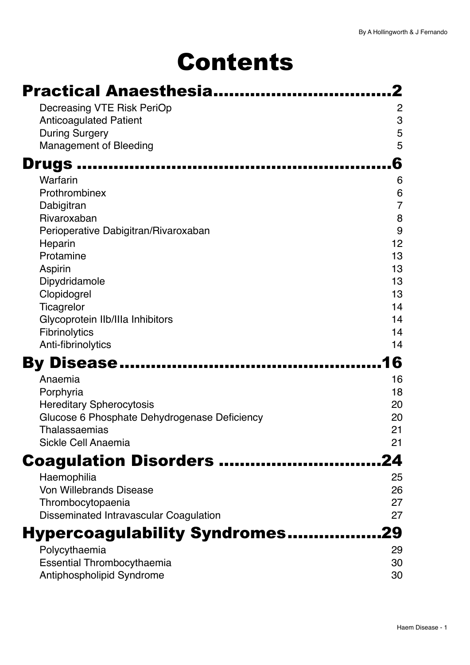# Contents

| <b>Practical Anaesthesia</b>                                         |                |
|----------------------------------------------------------------------|----------------|
| Decreasing VTE Risk PeriOp                                           | 2              |
| <b>Anticoagulated Patient</b>                                        | 3              |
| <b>During Surgery</b><br><b>Management of Bleeding</b>               | 5<br>5         |
|                                                                      |                |
| <b>Drugs</b>                                                         | 6              |
| Warfarin<br>Prothrombinex                                            | 6<br>6         |
| Dabigitran                                                           | $\overline{7}$ |
| Rivaroxaban                                                          | 8              |
| Perioperative Dabigitran/Rivaroxaban                                 | 9              |
| Heparin<br>Protamine                                                 | 12             |
| Aspirin                                                              | 13<br>13       |
| Dipydridamole                                                        | 13             |
| Clopidogrel                                                          | 13             |
| Ticagrelor                                                           | 14             |
| Glycoprotein Ilb/Illa Inhibitors<br>Fibrinolytics                    | 14<br>14       |
| Anti-fibrinolytics                                                   | 14             |
| By Disease                                                           | 6              |
| Anaemia                                                              | 16             |
| Porphyria                                                            | 18             |
| <b>Hereditary Spherocytosis</b>                                      | 20             |
| Glucose 6 Phosphate Dehydrogenase Deficiency<br><b>Thalassaemias</b> | 20<br>21       |
| Sickle Cell Anaemia                                                  | 21             |
| <b>Coagulation Disorders </b>                                        |                |
| Haemophilia                                                          | 25             |
| <b>Von Willebrands Disease</b>                                       | 26             |
| Thrombocytopaenia                                                    | 27             |
| Disseminated Intravascular Coagulation                               | 27             |
| <b>Hypercoagulability Syndromes29</b>                                |                |
| Polycythaemia                                                        | 29             |
| <b>Essential Thrombocythaemia</b>                                    | 30             |
| Antiphospholipid Syndrome                                            | 30             |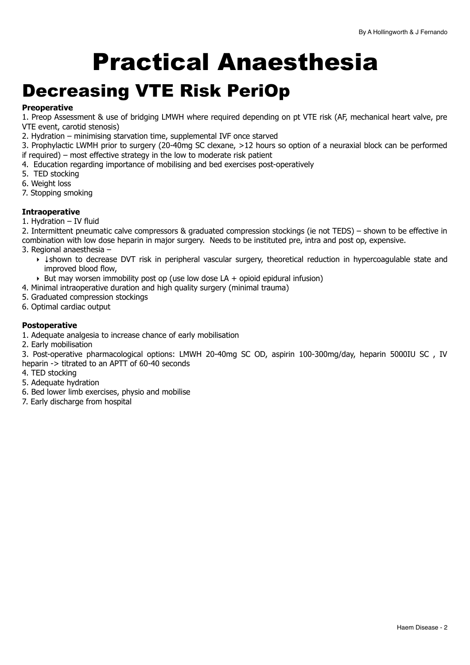# <span id="page-1-0"></span>Practical Anaesthesia

## <span id="page-1-1"></span>Decreasing VTE Risk PeriOp

### **Preoperative**

1. Preop Assessment & use of bridging LMWH where required depending on pt VTE risk (AF, mechanical heart valve, pre VTE event, carotid stenosis)

- 2. Hydration minimising starvation time, supplemental IVF once starved
- 3. Prophylactic LWMH prior to surgery (20-40mg SC clexane, >12 hours so option of a neuraxial block can be performed if required) – most effective strategy in the low to moderate risk patient
- 4. Education regarding importance of mobilising and bed exercises post-operatively
- 5. TED stocking
- 6. Weight loss
- 7. Stopping smoking

#### **Intraoperative**

1. Hydration – IV fluid

2. Intermittent pneumatic calve compressors & graduated compression stockings (ie not TEDS) – shown to be effective in combination with low dose heparin in major surgery. Needs to be instituted pre, intra and post op, expensive. 3. Regional anaesthesia –

- ‣ ↓shown to decrease DVT risk in peripheral vascular surgery, theoretical reduction in hypercoagulable state and improved blood flow,
- $\rightarrow$  But may worsen immobility post op (use low dose LA + opioid epidural infusion)
- 4. Minimal intraoperative duration and high quality surgery (minimal trauma)
- 5. Graduated compression stockings
- 6. Optimal cardiac output

#### **Postoperative**

- 1. Adequate analgesia to increase chance of early mobilisation
- 2. Early mobilisation

3. Post-operative pharmacological options: LMWH 20-40mg SC OD, aspirin 100-300mg/day, heparin 5000IU SC , IV heparin -> titrated to an APTT of 60-40 seconds

- 4. TED stocking
- 5. Adequate hydration
- 6. Bed lower limb exercises, physio and mobilise
- 7. Early discharge from hospital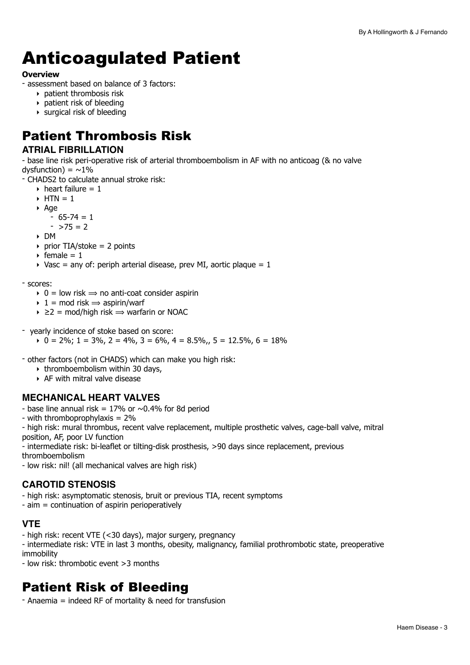## <span id="page-2-0"></span>Anticoagulated Patient

#### **Overview**

- assessment based on balance of 3 factors:

- ‣ patient thrombosis risk
- ‣ patient risk of bleeding
- ‣ surgical risk of bleeding

## Patient Thrombosis Risk

### **ATRIAL FIBRILLATION**

- base line risk peri-operative risk of arterial thromboembolism in AF with no anticoag (& no valve dysfunction) =  $\sim$ 1%

- CHADS2 to calculate annual stroke risk:

- $\rightarrow$  heart failure = 1
- $\triangleright$  HTN = 1
- ‣ Age

 $-65-74=1$ 

- $-$  >75 = 2
- ‣ DM
- $\rightarrow$  prior TIA/stoke = 2 points
- $\rightarrow$  female = 1
- $\rightarrow$  Vasc = any of: periph arterial disease, prev MI, aortic plaque = 1

#### - scores:

- $\rightarrow$  0 = low risk  $\rightarrow$  no anti-coat consider aspirin
- $\rightarrow$  1 = mod risk  $\rightarrow$  aspirin/warf
- $\rightarrow$   $\geq$  2 = mod/high risk  $\Rightarrow$  warfarin or NOAC
- yearly incidence of stoke based on score:

 $\rightarrow$  0 = 2%; 1 = 3%, 2 = 4%, 3 = 6%, 4 = 8.5%, 5 = 12.5%, 6 = 18%

- other factors (not in CHADS) which can make you high risk:

- $\rightarrow$  thromboembolism within 30 days,
- ‣ AF with mitral valve disease

## **MECHANICAL HEART VALVES**

- base line annual risk =  $17\%$  or  $\sim$  0.4% for 8d period
- with thromboprophylaxis = 2%

- high risk: mural thrombus, recent valve replacement, multiple prosthetic valves, cage-ball valve, mitral position, AF, poor LV function

- intermediate risk: bi-leaflet or tilting-disk prosthesis, >90 days since replacement, previous

thromboembolism

- low risk: nil! (all mechanical valves are high risk)

## **CAROTID STENOSIS**

- high risk: asymptomatic stenosis, bruit or previous TIA, recent symptoms
- aim = continuation of aspirin perioperatively

## **VTE**

- high risk: recent VTE (<30 days), major surgery, pregnancy
- intermediate risk: VTE in last 3 months, obesity, malignancy, familial prothrombotic state, preoperative immobility
- low risk: thrombotic event >3 months

## Patient Risk of Bleeding

- Anaemia = indeed RF of mortality & need for transfusion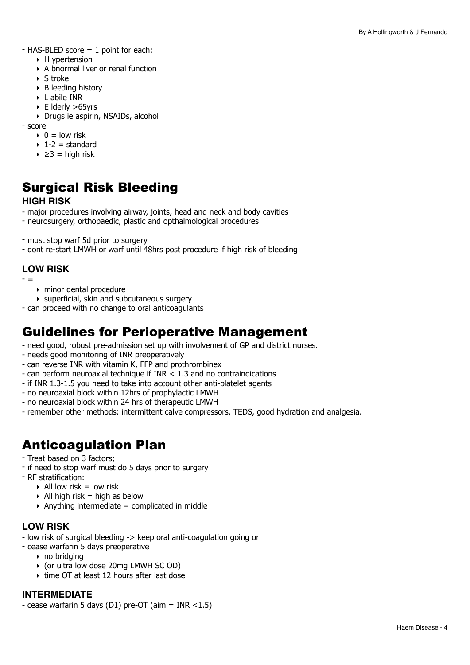- HAS-BLED score = 1 point for each:

- ‣ H ypertension
- ‣ A bnormal liver or renal function
- ‣ S troke
- ‣ B leeding history
- ‣ L abile INR
- ‣ E lderly >65yrs
- ‣ Drugs ie aspirin, NSAIDs, alcohol

- score

- $\rightarrow$  0 = low risk
- $\rightarrow$  1-2 = standard
- $\rightarrow$   $\geq$ 3 = high risk

## Surgical Risk Bleeding **HIGH RISK**

- major procedures involving airway, joints, head and neck and body cavities

- neurosurgery, orthopaedic, plastic and opthalmological procedures
- must stop warf 5d prior to surgery
- dont re-start LMWH or warf until 48hrs post procedure if high risk of bleeding

## **LOW RISK**

- =

- ‣ minor dental procedure
- ‣ superficial, skin and subcutaneous surgery
- can proceed with no change to oral anticoagulants

## Guidelines for Perioperative Management

- need good, robust pre-admission set up with involvement of GP and district nurses.
- needs good monitoring of INR preoperatively
- can reverse INR with vitamin K, FFP and prothrombinex
- can perform neuroaxial technique if INR < 1.3 and no contraindications
- if INR 1.3-1.5 you need to take into account other anti-platelet agents
- no neuroaxial block within 12hrs of prophylactic LMWH
- no neuroaxial block within 24 hrs of therapeutic LMWH
- remember other methods: intermittent calve compressors, TEDS, good hydration and analgesia.

## Anticoagulation Plan

- Treat based on 3 factors;
- if need to stop warf must do 5 days prior to surgery
- RF stratification:
	- $\triangleright$  All low risk = low risk
	- $\rightarrow$  All high risk = high as below
	- $\rightarrow$  Anything intermediate = complicated in middle

## **LOW RISK**

- low risk of surgical bleeding -> keep oral anti-coagulation going or
- cease warfarin 5 days preoperative
	- ‣ no bridging
	- ‣ (or ultra low dose 20mg LMWH SC OD)
	- $\rightarrow$  time OT at least 12 hours after last dose

## **INTERMEDIATE**

- cease warfarin 5 days (D1) pre-OT (aim = INR  $<$ 1.5)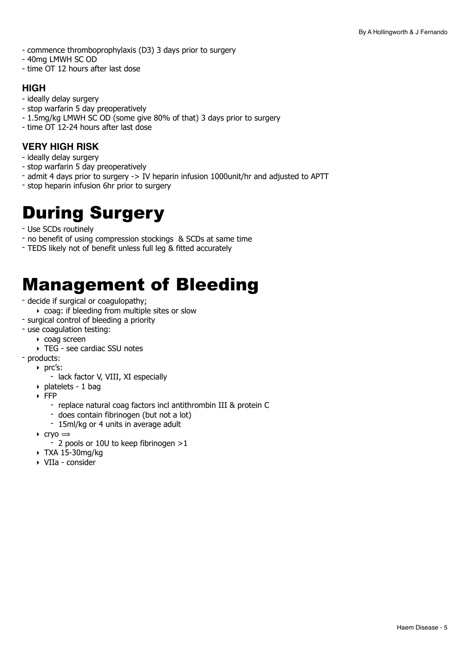- commence thromboprophylaxis (D3) 3 days prior to surgery
- 40mg LMWH SC OD
- time OT 12 hours after last dose

### **HIGH**

- ideally delay surgery
- stop warfarin 5 day preoperatively
- 1.5mg/kg LMWH SC OD (some give 80% of that) 3 days prior to surgery
- time OT 12-24 hours after last dose

## **VERY HIGH RISK**

- ideally delay surgery
- stop warfarin 5 day preoperatively
- admit 4 days prior to surgery -> IV heparin infusion 1000unit/hr and adjusted to APTT
- stop heparin infusion 6hr prior to surgery

## <span id="page-4-0"></span>During Surgery

- Use SCDs routinely
- no benefit of using compression stockings & SCDs at same time
- TEDS likely not of benefit unless full leg & fitted accurately

## <span id="page-4-1"></span>Management of Bleeding

- decide if surgical or coagulopathy;
	- ‣ coag: if bleeding from multiple sites or slow
- surgical control of bleeding a priority
- use coagulation testing:
	- ‣ coag screen
	- ‣ TEG see cardiac SSU notes
- products:
	- ‣ prc's:
		- lack factor V, VIII, XI especially
	- ‣ platelets 1 bag
	- $\overline{\phantom{a}}$  FFP
		- replace natural coag factors incl antithrombin III & protein C
		- does contain fibrinogen (but not a lot)
		- 15ml/kg or 4 units in average adult
	- $\triangleright$  cryo  $\Rightarrow$ 
		- 2 pools or 10U to keep fibrinogen >1
	- ‣ TXA 15-30mg/kg
	- ‣ VIIa consider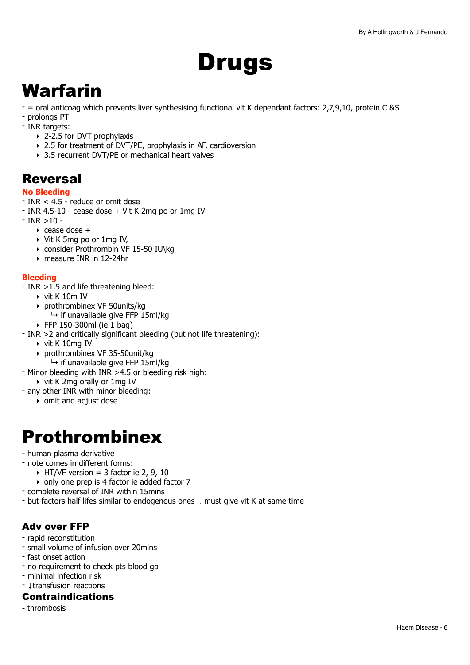# <span id="page-5-0"></span>Drugs

## <span id="page-5-1"></span>Warfarin

- = oral anticoag which prevents liver synthesising functional vit K dependant factors: 2,7,9,10, protein C &S
- prolongs PT
- INR targets:
	- ‣ 2-2.5 for DVT prophylaxis
	- ‣ 2.5 for treatment of DVT/PE, prophylaxis in AF, cardioversion
	- ‣ 3.5 recurrent DVT/PE or mechanical heart valves

## **Reversal**

#### **No Bleeding**

- INR < 4.5 reduce or omit dose
- INR 4.5-10 cease dose + Vit K 2mg po or 1mg IV
- $-$  INR  $>10 -$ 
	- $\rightarrow$  cease dose  $+$
	- ‣ Vit K 5mg po or 1mg IV,
	- ‣ consider Prothrombin VF 15-50 IU\kg
	- ‣ measure INR in 12-24hr

### **Bleeding**

- INR >1.5 and life threatening bleed:
	- ‣ vit K 10m IV
	- ‣ prothrombinex VF 50units/kg
		- $\mapsto$  if unavailable give FFP 15ml/kg
	- $\triangleright$  FFP 150-300ml (ie 1 bag)
- INR >2 and critically significant bleeding (but not life threatening):
	- ‣ vit K 10mg IV
	- ‣ prothrombinex VF 35-50unit/kg
	- $\mapsto$  if unavailable give FFP 15ml/kg
- Minor bleeding with INR >4.5 or bleeding risk high:
	- ‣ vit K 2mg orally or 1mg IV
- any other INR with minor bleeding:
	- ‣ omit and adjust dose

## <span id="page-5-2"></span>Prothrombinex

- human plasma derivative
- note comes in different forms:
	- $\triangleright$  HT/VF version = 3 factor ie 2, 9, 10
	- ‣ only one prep is 4 factor ie added factor 7
- complete reversal of INR within 15mins
- but factors half lifes similar to endogenous ones ∴ must give vit K at same time

## Adv over FFP

- rapid reconstitution
- small volume of infusion over 20mins
- fast onset action
- no requirement to check pts blood gp
- minimal infection risk
- ↓transfusion reactions

#### Contraindications

- thrombosis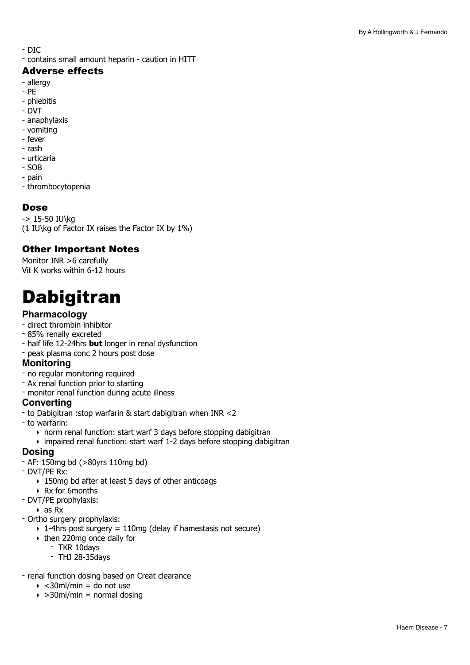- DIC

- contains small amount heparin - caution in HITT

### Adverse effects

- allergy
- PE
- phlebitis
- DVT
- anaphylaxis
- vomiting
- fever
- rash
- urticaria
- SOB
- pain
- thrombocytopenia

### Dose

-> 15-50 IU\kg (1 IU\kg of Factor IX raises the Factor IX by 1%)

## Other Important Notes

Monitor INR >6 carefully Vit K works within 6-12 hours

## <span id="page-6-0"></span>Dabigitran

## **Pharmacology**

- direct thrombin inhibitor
- 85% renally excreted
- half life 12-24hrs **but** longer in renal dysfunction
- peak plasma conc 2 hours post dose

#### **Monitoring**

- no regular monitoring required
- Ax renal function prior to starting
- monitor renal function during acute illness

#### **Converting**

- to Dabigitran :stop warfarin & start dabigitran when INR <2
- to warfarin:
	- ‣ norm renal function: start warf 3 days before stopping dabigitran
	- ‣ impaired renal function: start warf 1-2 days before stopping dabigitran

### **Dosing**

- AF: 150mg bd (>80yrs 110mg bd)
- DVT/PE Rx:
	- ‣ 150mg bd after at least 5 days of other anticoags
	- ‣ Rx for 6months
- DVT/PE prophylaxis:
- $\triangleright$  as Rx
- Ortho surgery prophylaxis:
	- $\rightarrow$  1-4hrs post surgery = 110mg (delay if hamestasis not secure)
	- ‣ then 220mg once daily for
		- TKR 10days
		- THJ 28-35days
- renal function dosing based on Creat clearance
	- $\rightarrow$  <30ml/min = do not use
	- $\rightarrow$  >30ml/min = normal dosing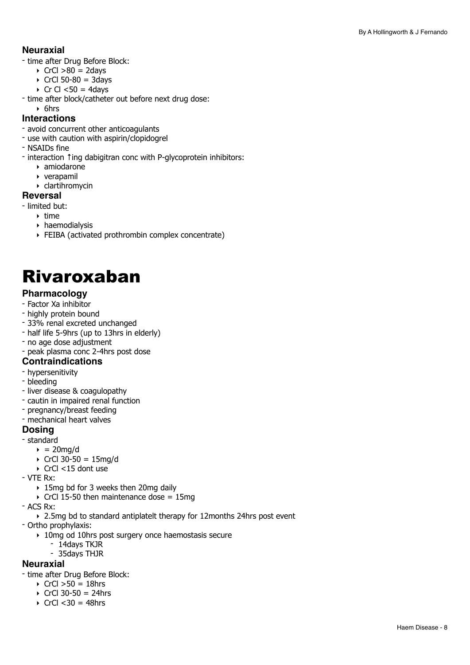### **Neuraxial**

- time after Drug Before Block:
	- $\triangleright$  CrCl  $>80 = 2$ days
	- $\triangleright$  CrCl 50-80 = 3days
	- $\triangleright$  Cr Cl <50 = 4days
- time after block/catheter out before next drug dose:

#### ‣ 6hrs **Interactions**

- avoid concurrent other anticoagulants
- use with caution with aspirin/clopidogrel
- NSAIDs fine
- interaction ↑ing dabigitran conc with P-glycoprotein inhibitors:
	- ‣ amiodarone
	- ‣ verapamil
	- ‣ clartihromycin

#### **Reversal**

- limited but:
	- ‣ time
		- ‣ haemodialysis
		- ‣ FEIBA (activated prothrombin complex concentrate)

## <span id="page-7-0"></span>Rivaroxaban

#### **Pharmacology**

- Factor Xa inhibitor
- highly protein bound
- 33% renal excreted unchanged
- half life 5-9hrs (up to 13hrs in elderly)
- no age dose adjustment
- peak plasma conc 2-4hrs post dose

#### **Contraindications**

- hypersenitivity
- bleeding
- liver disease & coagulopathy
- cautin in impaired renal function
- pregnancy/breast feeding
- mechanical heart valves

#### **Dosing**

- standard
	- $\rightarrow$  = 20mg/d
	- $\triangleright$  CrCl 30-50 = 15mg/d
	- ‣ CrCl <15 dont use
- VTE Rx:
	- ‣ 15mg bd for 3 weeks then 20mg daily
	- $\triangleright$  CrCl 15-50 then maintenance dose = 15mg
- ACS Rx:
	- ‣ 2.5mg bd to standard antiplatelt therapy for 12months 24hrs post event
- Ortho prophylaxis:
	- ‣ 10mg od 10hrs post surgery once haemostasis secure
		- 14days TKJR
		- 35days THJR

#### **Neuraxial**

- time after Drug Before Block:
	- $\triangleright$  CrCl  $>50 = 18$ hrs
	- $\triangleright$  CrCl 30-50 = 24hrs
	- $\triangleright$  CrCl < 30 = 48hrs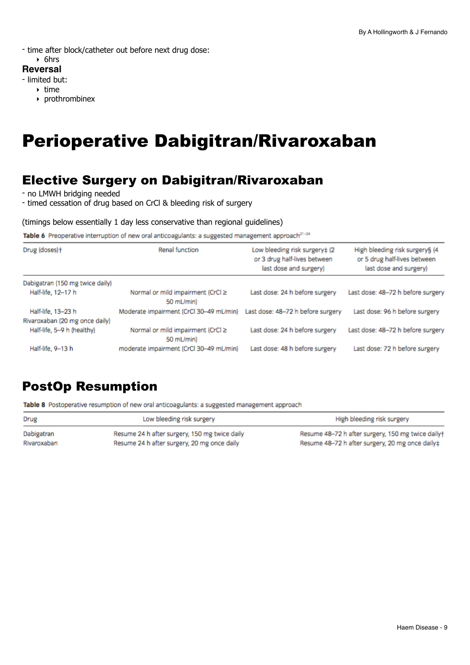- time after block/catheter out before next drug dose:

## ‣ 6hrs

## **Reversal**

- limited but:

- $\rightarrow$  time
	- ‣ prothrombinex

## <span id="page-8-0"></span>Perioperative Dabigitran/Rivaroxaban

## Elective Surgery on Dabigitran/Rivaroxaban

- no LMWH bridging needed

- timed cessation of drug based on CrCl & bleeding risk of surgery

#### (timings below essentially 1 day less conservative than regional guidelines)

Table 6 Preoperative interruption of new oral anticoagulants: a suggested management approach<sup>21-24</sup>

| Drug (doses)+                   | Renal function                                  | Low bleeding risk surgery‡ (2<br>or 3 drug half-lives between<br>last dose and surgery) | High bleeding risk surgery§ (4<br>or 5 drug half-lives between<br>last dose and surgery) |
|---------------------------------|-------------------------------------------------|-----------------------------------------------------------------------------------------|------------------------------------------------------------------------------------------|
| Dabigatran (150 mg twice daily) |                                                 |                                                                                         |                                                                                          |
| Half-life, 12-17 h              | Normal or mild impairment (CrCl ≥<br>50 mL/min) | Last dose: 24 h before surgery                                                          | Last dose: 48-72 h before surgery                                                        |
| Half-life, 13-23 h              | Moderate impairment (CrCl 30-49 mL/min)         | Last dose: 48-72 h before surgery                                                       | Last dose: 96 h before surgery                                                           |
| Rivaroxaban (20 mg once daily)  |                                                 |                                                                                         |                                                                                          |
| Half-life, 5-9 h (healthy)      | Normal or mild impairment (CrCl ≥<br>50 mL/min) | Last dose: 24 h before surgery                                                          | Last dose: 48-72 h before surgery                                                        |
| Half-life, 9-13 h               | moderate impairment (CrCl 30-49 mL/min)         | Last dose: 48 h before surgery                                                          | Last dose: 72 h before surgery                                                           |

## PostOp Resumption

Table 8 Postoperative resumption of new oral anticoagulants: a suggested management approach

| Drug        | Low bleeding risk surgery                     | High bleeding risk surgery                        |
|-------------|-----------------------------------------------|---------------------------------------------------|
| Dabigatran  | Resume 24 h after surgery, 150 mg twice daily | Resume 48-72 h after surgery, 150 mg twice daily+ |
| Rivaroxaban | Resume 24 h after surgery, 20 mg once daily   | Resume 48-72 h after surgery, 20 mg once daily‡   |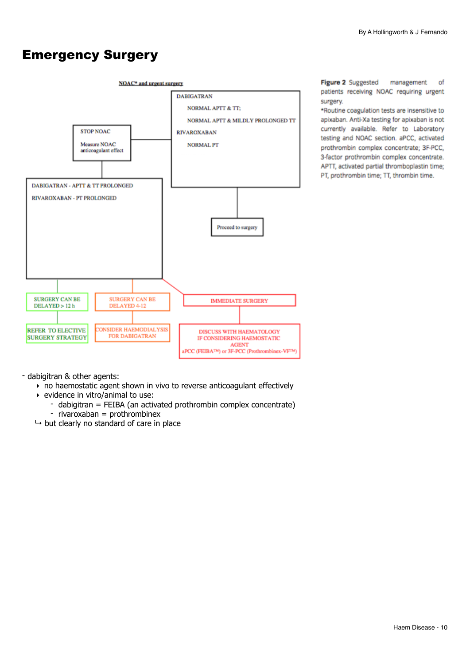## Emergency Surgery



Figure 2 Suggested management of patients receiving NOAC requiring urgent surgery.

\*Routine coagulation tests are insensitive to apixaban. Anti-Xa testing for apixaban is not currently available. Refer to Laboratory testing and NOAC section, aPCC, activated prothrombin complex concentrate; 3F-PCC, 3-factor prothrombin complex concentrate. APTT, activated partial thromboplastin time; PT, prothrombin time; TT, thrombin time.

- dabigitran & other agents:

- ‣ no haemostatic agent shown in vivo to reverse anticoagulant effectively
- ‣ evidence in vitro/animal to use:
	- dabigitran = FEIBA (an activated prothrombin complex concentrate)
	- rivaroxaban = prothrombinex
- $\mapsto$  but clearly no standard of care in place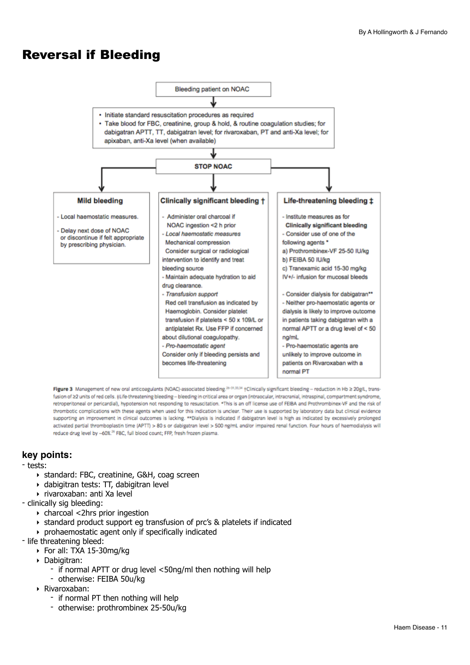## Reversal if Bleeding



Figure 3 Management of new oral anticoagulants (NOAC)-associated bleeding.<sup>26-31,33,34</sup> +Clinically significant bleeding - reduction in Hb ≥ 20g/L, transfusion of ≥2 units of red cells. ‡Life-threatening bleeding - bleeding in critical area or organ (intraocular, intracranial, intraspinal, compartment syndrome, retroperitoneal or pericardial), hypotension not responding to resuscitation. \*This is an off license use of FEIBA and Prothrombinex-VF and the risk of thrombotic complications with these agents when used for this indication is unclear. Their use is supported by laboratory data but clinical evidence supporting an improvement in clinical outcomes is lacking. \*\*Dialysis is indicated if dabigatran level is high as indicated by excessively prolonged activated partial thromboplastin time (APTT) > 80 s or dabigatran level > 500 ng/mL and/or impaired renal function. Four hours of haemodialysis will reduce drug level by -60%.<sup>26</sup> FBC, full blood count; FFP, fresh frozen plasma.

### **key points:**

- tests:
	- ‣ standard: FBC, creatinine, G&H, coag screen
	- ‣ dabigitran tests: TT, dabigitran level
	- ‣ rivaroxaban: anti Xa level
- clinically sig bleeding:
	- ‣ charcoal <2hrs prior ingestion
	- ‣ standard product support eg transfusion of prc's & platelets if indicated
	- ‣ prohaemostatic agent only if specifically indicated
- life threatening bleed:
	- ‣ For all: TXA 15-30mg/kg
	- ‣ Dabigitran:
		- if normal APTT or drug level <50ng/ml then nothing will help
		- otherwise: FEIBA 50u/kg
	- ‣ Rivaroxaban:
		- if normal PT then nothing will help
		- otherwise: prothrombinex 25-50u/kg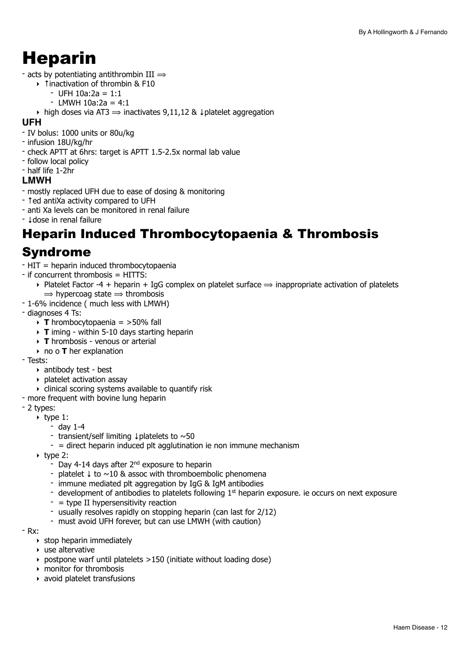## <span id="page-11-0"></span>Heparin

- acts by potentiating antithrombin III  $\Rightarrow$ 
	- ‣ ↑inactivation of thrombin & F10
		- UFH 10a:2a = 1:1
		- $-$  LMWH 10a:2a = 4:1
	- $\rightarrow$  high doses via AT3  $\rightarrow$  inactivates 9,11,12 & ↓platelet aggregation

#### **UFH**

- IV bolus: 1000 units or 80u/kg
- infusion 18U/kg/hr
- check APTT at 6hrs: target is APTT 1.5-2.5x normal lab value
- follow local policy
- half life 1-2hr

#### **LMWH**

- mostly replaced UFH due to ease of dosing & monitoring
- ↑ed antiXa activity compared to UFH
- anti Xa levels can be monitored in renal failure
- ↓dose in renal failure

## Heparin Induced Thrombocytopaenia & Thrombosis

## Syndrome

- HIT = heparin induced thrombocytopaenia
- if concurrent thrombosis = HITTS:
	- ▶ Platelet Factor -4 + heparin + IgG complex on platelet surface  $\Rightarrow$  inappropriate activation of platelets  $\Rightarrow$  hypercoag state  $\Rightarrow$  thrombosis
- 1-6% incidence ( much less with LMWH)
- diagnoses 4 Ts:
	- ‣ **T** hrombocytopaenia = >50% fall
	- ‣ **T** iming within 5-10 days starting heparin
	- ‣ **T** hrombosis venous or arterial
	- ‣ no o **T** her explanation
- Tests:
	- ‣ antibody test best
	- ‣ platelet activation assay
	- $\triangleright$  clinical scoring systems available to quantify risk
- more frequent with bovine lung heparin
- 2 types:
	- $\triangleright$  type 1:
		- day 1-4
		- transient/self limiting ↓platelets to ~50
		- $-$  = direct heparin induced plt agglutination ie non immune mechanism
	- $\triangleright$  type 2:
		- $-$  Day 4-14 days after 2<sup>nd</sup> exposure to heparin
		- platelet ↓ to ~10 & assoc with thromboembolic phenomena
		- immune mediated plt aggregation by IgG & IgM antibodies
		- development of antibodies to platelets following  $1<sup>st</sup>$  heparin exposure. ie occurs on next exposure
		- $-$  = type II hypersensitivity reaction
		- usually resolves rapidly on stopping heparin (can last for 2/12)
		- must avoid UFH forever, but can use LMWH (with caution)
- Rx:
	- $\rightarrow$  stop heparin immediately
	- ‣ use altervative
	- ‣ postpone warf until platelets >150 (initiate without loading dose)
	- ‣ monitor for thrombosis
	- ‣ avoid platelet transfusions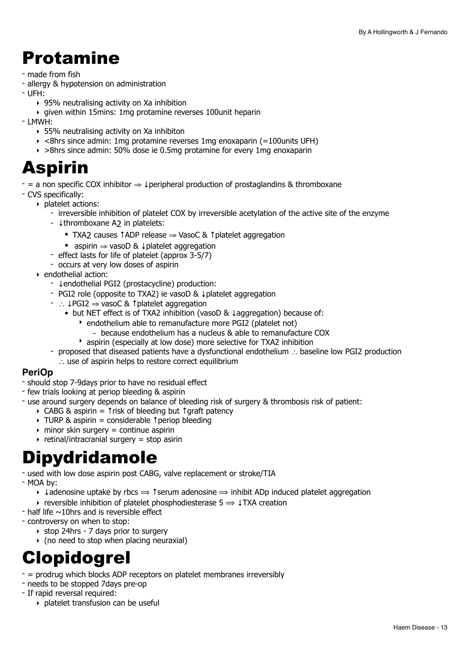## <span id="page-12-0"></span>Protamine

- made from fish
- allergy & hypotension on administration
- UFH:
	- ‣ 95% neutralising activity on Xa inhibition
	- ‣ given within 15mins: 1mg protamine reverses 100unit heparin

- LMWH:

- ‣ 55% neutralising activity on Xa inhibiton
- $\rightarrow$  <8hrs since admin: 1mg protamine reverses 1mg enoxaparin (=100units UFH)
- ‣ >8hrs since admin: 50% dose ie 0.5mg protamine for every 1mg enoxaparin

## <span id="page-12-1"></span>Aspirin

 $-$  = a non specific COX inhibitor  $\Rightarrow \downarrow$  peripheral production of prostaglandins & thromboxane

- CVS specifically:

- ‣ platelet actions:
	- irreversible inhibition of platelet COX by irreversible acetylation of the active site of the enzyme
	- ↓thromboxane A2 in platelets:
		- TXA2 causes ↑ADP release  $\Rightarrow$  VasoC & ↑ platelet aggregation
		- aspirin ⇒ vasoD & ↓platelet aggregation
	- effect lasts for life of platelet (approx 3-5/7)
	- occurs at very low doses of aspirin
- ‣ endothelial action:
	- ↓endothelial PGI2 (prostacycline) production:
	- PGI2 role (opposite to TXA2) ie vasoD & ↓platelet aggregation
	- ∴ ↓PGI2 ⇒ vasoC & ↑platelet aggregation
		- but NET effect is of TXA2 inhibition (vasoD & ↓aggregation) because of:
			- ‣ endothelium able to remanufacture more PGI2 (platelet not)
				- because endothelium has a nucleus & able to remanufacture COX
			- ‣ aspirin (especially at low dose) more selective for TXA2 inhibition
	- proposed that diseased patients have a dysfunctional endothelium ∴ baseline low PGI2 production ∴ use of aspirin helps to restore correct equilibrium

### **PeriOp**

- should stop 7-9days prior to have no residual effect
- few trials looking at periop bleeding & aspirin
- use around surgery depends on balance of bleeding risk of surgery & thrombosis risk of patient:
	- ‣ CABG & aspirin = ↑risk of bleeding but ↑graft patency
		- ‣ TURP & aspirin = considerable ↑periop bleeding
		- $\rightarrow$  minor skin surgery = continue aspirin
		- $\rightarrow$  retinal/intracranial surgery = stop asirin

## <span id="page-12-2"></span>Dipydridamole

- used with low dose aspirin post CABG, valve replacement or stroke/TIA
- MOA by:
	- $\rightarrow$  +adenosine uptake by rbcs  $\rightarrow$  1 serum adenosine  $\rightarrow$  inhibit ADp induced platelet aggregation
	- $\rightarrow$  reversible inhibition of platelet phosphodiesterase 5  $\rightarrow$  ↓TXA creation
- $-$  half life  $\sim$ 10hrs and is reversible effect
- controversy on when to stop:
	- ‣ stop 24hrs 7 days prior to surgery
	- $\rightarrow$  (no need to stop when placing neuraxial)

## <span id="page-12-3"></span>Clopidogrel

- = prodrug which blocks ADP receptors on platelet membranes irreversibly
- needs to be stopped 7days pre-op
- If rapid reversal required:
	- ‣ platelet transfusion can be useful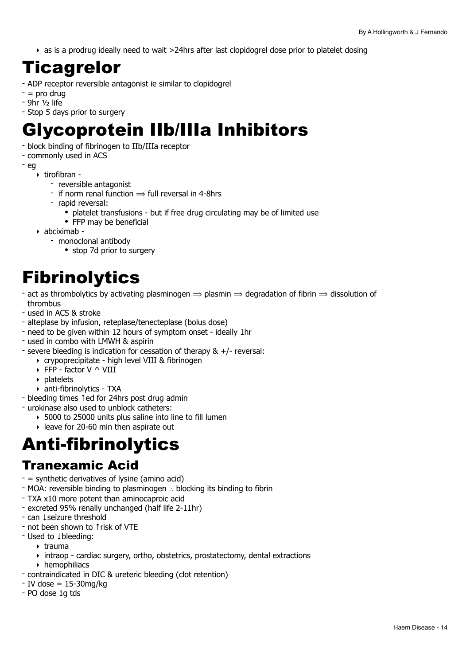‣ as is a prodrug ideally need to wait >24hrs after last clopidogrel dose prior to platelet dosing

## <span id="page-13-0"></span>Ticagrelor

- ADP receptor reversible antagonist ie similar to clopidogrel
- $-$  = pro drug
- 9hr ½ life
- Stop 5 days prior to surgery

## <span id="page-13-1"></span>Glycoprotein IIb/IIIa Inhibitors

- block binding of fibrinogen to IIb/IIIa receptor
- commonly used in ACS
- eg
	- ‣ tirofibran
		- reversible antagonist
		- if norm renal function  $\Rightarrow$  full reversal in 4-8hrs
		- rapid reversal:
			- platelet transfusions but if free drug circulating may be of limited use
			- FFP may be beneficial
	- ‣ abciximab
		- monoclonal antibody
			- stop 7d prior to surgery

## <span id="page-13-2"></span>**Fibrinolytics**

- act as thrombolytics by activating plasminogen  $\Rightarrow$  plasmin  $\Rightarrow$  degradation of fibrin  $\Rightarrow$  dissolution of thrombus
- used in ACS & stroke
- alteplase by infusion, reteplase/tenecteplase (bolus dose)
- need to be given within 12 hours of symptom onset ideally 1hr
- used in combo with LMWH & aspirin
- severe bleeding is indication for cessation of therapy & +/- reversal:
	- ‣ crypoprecipitate high level VIII & fibrinogen
	- $\triangleright$  FFP factor V  $\wedge$  VIII
	- ‣ platelets
	- ‣ anti-fibrinolytics TXA
- bleeding times ↑ed for 24hrs post drug admin
- urokinase also used to unblock catheters:
	- ‣ 5000 to 25000 units plus saline into line to fill lumen
	- ‣ leave for 20-60 min then aspirate out

## <span id="page-13-3"></span>Anti-fibrinolytics

## Tranexamic Acid

- $-$  = synthetic derivatives of lysine (amino acid)
- MOA: reversible binding to plasminogen ∴ blocking its binding to fibrin
- TXA x10 more potent than aminocaproic acid
- excreted 95% renally unchanged (half life 2-11hr)
- can ↓seizure threshold
- not been shown to ↑risk of VTE
- Used to ↓bleeding:
	- $\triangleright$  trauma
	- ‣ intraop cardiac surgery, ortho, obstetrics, prostatectomy, dental extractions
		- ‣ hemophiliacs
- contraindicated in DIC & ureteric bleeding (clot retention)
- $-$  IV dose = 15-30mg/kg
- PO dose 1g tds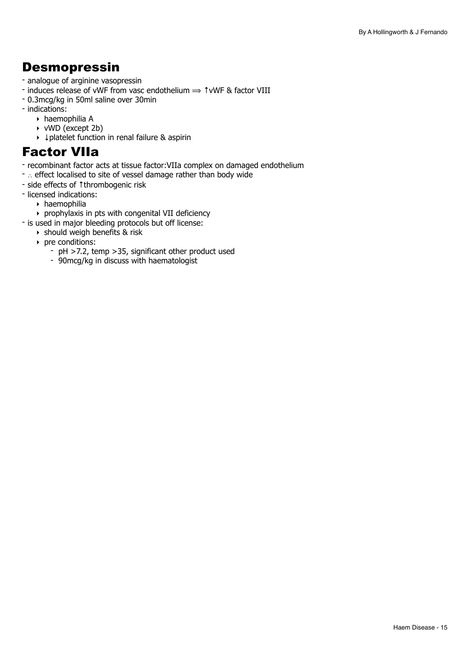## **Desmopressin**

- analogue of arginine vasopressin
- induces release of vWF from vasc endothelium ⟹ ↑vWF & factor VIII
- 0.3mcg/kg in 50ml saline over 30min
- indications:
	- ‣ haemophilia A
	- ‣ vWD (except 2b)
	- ‣ ↓platelet function in renal failure & aspirin

## Factor VIIa

- recombinant factor acts at tissue factor:VIIa complex on damaged endothelium
- ∴ effect localised to site of vessel damage rather than body wide
- side effects of ↑thrombogenic risk
- licensed indications:
	- ‣ haemophilia
	- ‣ prophylaxis in pts with congenital VII deficiency
- is used in major bleeding protocols but off license:
	- $\rightarrow$  should weigh benefits & risk
	- ‣ pre conditions:
		- pH >7.2, temp >35, significant other product used
		- 90mcg/kg in discuss with haematologist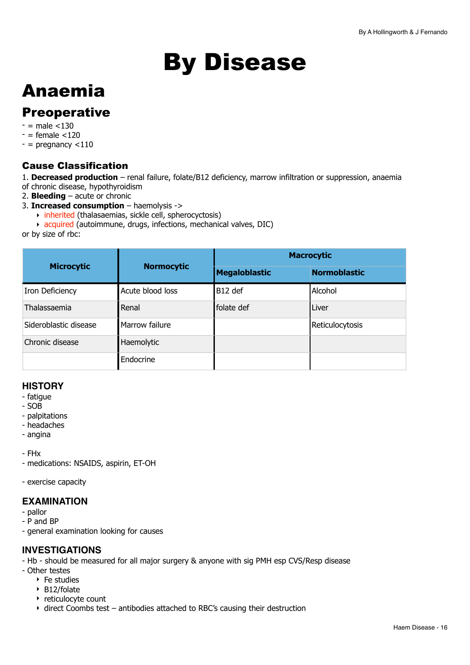# <span id="page-15-0"></span>By Disease

## <span id="page-15-1"></span>Anaemia

## **Preoperative**

- $-$  = male  $<$ 130
- $=$  female  $<$ 120
- $-$  = pregnancy  $<$ 110

## Cause Classification

- 1. **Decreased production** renal failure, folate/B12 deficiency, marrow infiltration or suppression, anaemia of chronic disease, hypothyroidism
- 2. **Bleeding** acute or chronic
- 3. **Increased consumption** haemolysis ->
- ‣ inherited (thalasaemias, sickle cell, spherocyctosis)
	- ‣ acquired (autoimmune, drugs, infections, mechanical valves, DIC)

or by size of rbc:

| <b>Microcytic</b>     | <b>Normocytic</b> | <b>Macrocytic</b>    |                     |
|-----------------------|-------------------|----------------------|---------------------|
|                       |                   | <b>Megaloblastic</b> | <b>Normoblastic</b> |
| Iron Deficiency       | Acute blood loss  | B12 def              | Alcohol             |
| Thalassaemia          | Renal             | folate def           | Liver               |
| Sideroblastic disease | Marrow failure    |                      | Reticulocytosis     |
| Chronic disease       | Haemolytic        |                      |                     |
|                       | Endocrine         |                      |                     |

## **HISTORY**

- fatigue
- SOB
- palpitations
- headaches
- angina

- FHx

- medications: NSAIDS, aspirin, ET-OH

- exercise capacity

## **EXAMINATION**

- pallor
- P and BP
- general examination looking for causes

## **INVESTIGATIONS**

- Hb should be measured for all major surgery & anyone with sig PMH esp CVS/Resp disease
- Other testes
	- ‣ Fe studies
	- ‣ B12/folate
	- ‣ reticulocyte count
	- ‣ direct Coombs test antibodies attached to RBC's causing their destruction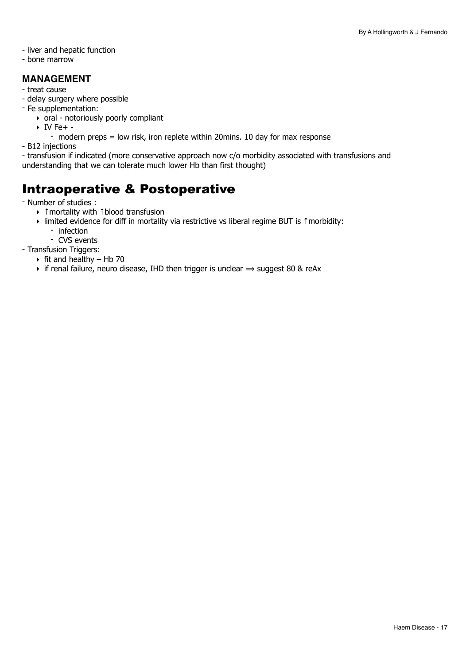- liver and hepatic function
- bone marrow

### **MANAGEMENT**

- treat cause
- delay surgery where possible
- Fe supplementation:
	- ‣ oral notoriously poorly compliant
	- $\triangleright$  IV Fe+ -
	- modern preps = low risk, iron replete within 20mins. 10 day for max response
- B12 injections
- transfusion if indicated (more conservative approach now c/o morbidity associated with transfusions and understanding that we can tolerate much lower Hb than first thought)

## Intraoperative & Postoperative

- Number of studies :

- ‣ ↑mortality with ↑blood transfusion
- ‣ limited evidence for diff in mortality via restrictive vs liberal regime BUT is ↑morbidity:
	- infection
		- CVS events
- Transfusion Triggers:
	- $\triangleright$  fit and healthy Hb 70
	- $\rightarrow$  if renal failure, neuro disease, IHD then trigger is unclear  $\Rightarrow$  suggest 80 & reAx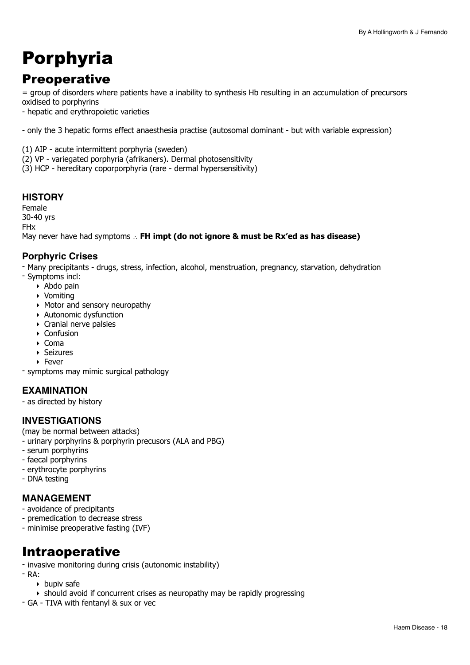## <span id="page-17-0"></span>Porphyria

## **Preoperative**

= group of disorders where patients have a inability to synthesis Hb resulting in an accumulation of precursors oxidised to porphyrins

- hepatic and erythropoietic varieties

- only the 3 hepatic forms effect anaesthesia practise (autosomal dominant - but with variable expression)

(1) AIP - acute intermittent porphyria (sweden)

(2) VP - variegated porphyria (afrikaners). Dermal photosensitivity

(3) HCP - hereditary coporporphyria (rare - dermal hypersensitivity)

## **HISTORY**

Female 30-40 yrs FHx May never have had symptoms ∴ **FH impt (do not ignore & must be Rx'ed as has disease)**

### **Porphyric Crises**

- Many precipitants - drugs, stress, infection, alcohol, menstruation, pregnancy, starvation, dehydration - Symptoms incl:

- ‣ Abdo pain
- ‣ Vomiting
- ‣ Motor and sensory neuropathy
- ‣ Autonomic dysfunction
- ‣ Cranial nerve palsies
- ‣ Confusion
- ‣ Coma
- ‣ Seizures
- ‣ Fever

- symptoms may mimic surgical pathology

## **EXAMINATION**

- as directed by history

### **INVESTIGATIONS**

(may be normal between attacks)

- urinary porphyrins & porphyrin precusors (ALA and PBG)
- serum porphyrins
- faecal porphyrins
- erythrocyte porphyrins
- DNA testing

### **MANAGEMENT**

- avoidance of precipitants
- premedication to decrease stress
- minimise preoperative fasting (IVF)

## Intraoperative

- invasive monitoring during crisis (autonomic instability)
- RA:
	- ‣ bupiv safe
	- ‣ should avoid if concurrent crises as neuropathy may be rapidly progressing
- GA TIVA with fentanyl & sux or vec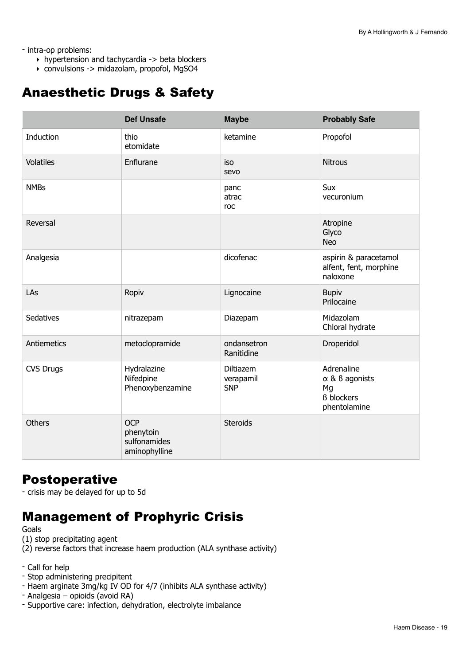- intra-op problems:

- ‣ hypertension and tachycardia -> beta blockers
- ‣ convulsions -> midazolam, propofol, MgSO4

## Anaesthetic Drugs & Safety

|                  | <b>Def Unsafe</b>                                        | <b>Maybe</b>                         | <b>Probably Safe</b>                                                                 |
|------------------|----------------------------------------------------------|--------------------------------------|--------------------------------------------------------------------------------------|
| Induction        | thio<br>etomidate                                        | ketamine                             | Propofol                                                                             |
| <b>Volatiles</b> | Enflurane                                                | iso<br>sevo                          | <b>Nitrous</b>                                                                       |
| <b>NMBs</b>      |                                                          | panc<br>atrac<br>roc                 | Sux<br>vecuronium                                                                    |
| Reversal         |                                                          |                                      | Atropine<br>Glyco<br><b>Neo</b>                                                      |
| Analgesia        |                                                          | dicofenac                            | aspirin & paracetamol<br>alfent, fent, morphine<br>naloxone                          |
| LAs              | Ropiv                                                    | Lignocaine                           | <b>Bupiv</b><br>Prilocaine                                                           |
| Sedatives        | nitrazepam                                               | Diazepam                             | Midazolam<br>Chloral hydrate                                                         |
| Antiemetics      | metoclopramide                                           | ondansetron<br>Ranitidine            | Droperidol                                                                           |
| <b>CVS Drugs</b> | Hydralazine<br>Nifedpine<br>Phenoxybenzamine             | Diltiazem<br>verapamil<br><b>SNP</b> | Adrenaline<br>$\alpha$ & $\beta$ agonists<br>Mg<br><b>ß</b> blockers<br>phentolamine |
| <b>Others</b>    | <b>OCP</b><br>phenytoin<br>sulfonamides<br>aminophylline | <b>Steroids</b>                      |                                                                                      |

## **Postoperative**

- crisis may be delayed for up to 5d

## Management of Prophyric Crisis

Goals

- (1) stop precipitating agent
- (2) reverse factors that increase haem production (ALA synthase activity)
- Call for help
- Stop administering precipitent
- Haem arginate 3mg/kg IV OD for 4/7 (inhibits ALA synthase activity)
- Analgesia opioids (avoid RA)
- Supportive care: infection, dehydration, electrolyte imbalance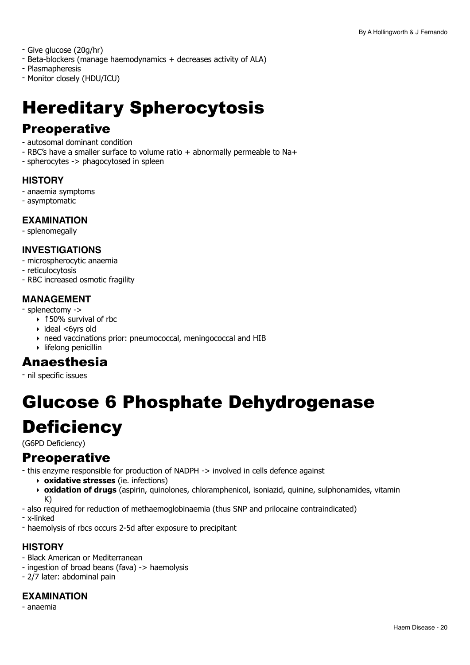- Give glucose (20g/hr)

- Beta-blockers (manage haemodynamics + decreases activity of ALA)
- Plasmapheresis
- Monitor closely (HDU/ICU)

## <span id="page-19-0"></span>Hereditary Spherocytosis

## **Preoperative**

- autosomal dominant condition
- RBC's have a smaller surface to volume ratio + abnormally permeable to Na+
- spherocytes -> phagocytosed in spleen

#### **HISTORY**

- anaemia symptoms
- asymptomatic

#### **EXAMINATION**

- splenomegally

### **INVESTIGATIONS**

- microspherocytic anaemia

- reticulocytosis
- RBC increased osmotic fragility

### **MANAGEMENT**

- splenectomy ->

- ‣ ↑50% survival of rbc
- ‣ ideal <6yrs old
- ‣ need vaccinations prior: pneumococcal, meningococcal and HIB
- ‣ lifelong penicillin

## Anaesthesia

- nil specific issues

## <span id="page-19-1"></span>Glucose 6 Phosphate Dehydrogenase **Deficiency**

(G6PD Deficiency)

## **Preoperative**

- this enzyme responsible for production of NADPH -> involved in cells defence against

- ‣ **oxidative stresses** (ie. infections)
- ‣ **oxidation of drugs** (aspirin, quinolones, chloramphenicol, isoniazid, quinine, sulphonamides, vitamin K)
- also required for reduction of methaemoglobinaemia (thus SNP and prilocaine contraindicated)
- x-linked
- haemolysis of rbcs occurs 2-5d after exposure to precipitant

## **HISTORY**

- Black American or Mediterranean
- ingestion of broad beans (fava) -> haemolysis
- 2/7 later: abdominal pain

## **EXAMINATION**

- anaemia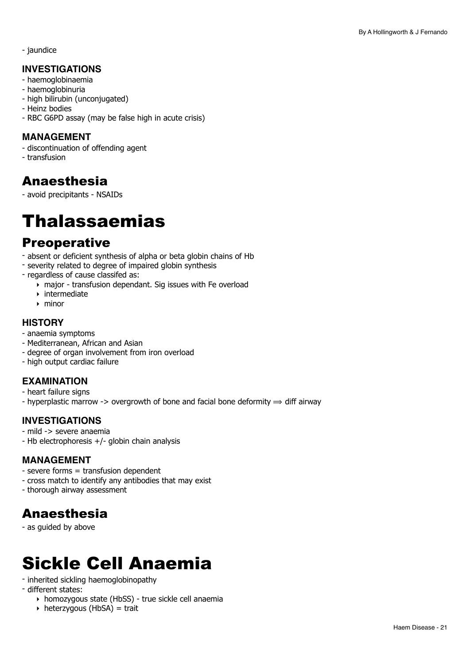- jaundice

### **INVESTIGATIONS**

- haemoglobinaemia
- haemoglobinuria
- high bilirubin (unconjugated)
- Heinz bodies
- RBC G6PD assay (may be false high in acute crisis)

### **MANAGEMENT**

- discontinuation of offending agent
- transfusion

## Anaesthesia

- avoid precipitants - NSAIDs

## <span id="page-20-0"></span>Thalassaemias

## **Preoperative**

- absent or deficient synthesis of alpha or beta globin chains of Hb
- severity related to degree of impaired globin synthesis
- regardless of cause classifed as:
	- $\overline{\bullet}$  major transfusion dependant. Sig issues with Fe overload
	- ‣ intermediate
	- ‣ minor

### **HISTORY**

- anaemia symptoms
- Mediterranean, African and Asian
- degree of organ involvement from iron overload
- high output cardiac failure

## **EXAMINATION**

- heart failure signs
- hyperplastic marrow -> overgrowth of bone and facial bone deformity  $\Rightarrow$  diff airway

## **INVESTIGATIONS**

- mild -> severe anaemia
- Hb electrophoresis +/- globin chain analysis

### **MANAGEMENT**

- severe forms = transfusion dependent
- cross match to identify any antibodies that may exist
- thorough airway assessment

## Anaesthesia

- as guided by above

## <span id="page-20-1"></span>Sickle Cell Anaemia

- inherited sickling haemoglobinopathy
- different states:
	- ‣ homozygous state (HbSS) true sickle cell anaemia
	- $\rightarrow$  heterzygous (HbSA) = trait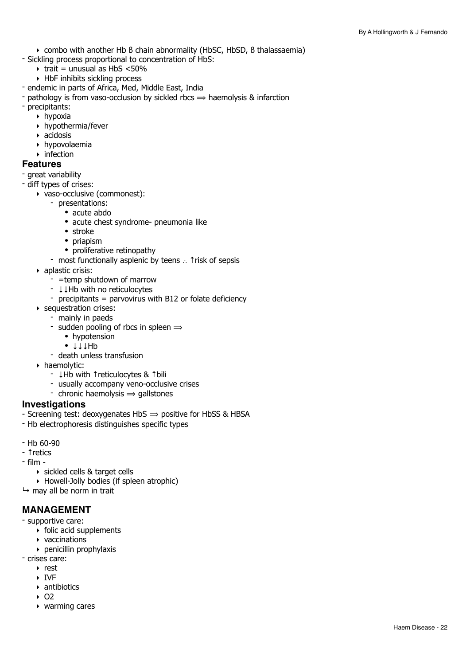- ‣ combo with another Hb ß chain abnormality (HbSC, HbSD, ß thalassaemia)
- Sickling process proportional to concentration of HbS:
	- $\rightarrow$  trait = unusual as HbS <50%
	- ‣ HbF inhibits sickling process
- endemic in parts of Africa, Med, Middle East, India
- pathology is from vaso-occlusion by sickled rbcs  $\Rightarrow$  haemolysis & infarction
- precipitants:
	- $\rightarrow$  hypoxia
	- $\rightarrow$  hypothermia/fever
	- ‣ acidosis
	- ‣ hypovolaemia
	- $\triangleright$  infection

#### **Features**

- great variability
- diff types of crises:
	- ‣ vaso-occlusive (commonest):
		- presentations:
			- acute abdo
			- acute chest syndrome- pneumonia like
			- stroke
			- priapism
			- proliferative retinopathy
		- most functionally asplenic by teens ∴ ↑risk of sepsis
	- ‣ aplastic crisis:
		- =temp shutdown of marrow
		- ↓↓Hb with no reticulocytes
		- precipitants = parvovirus with B12 or folate deficiency
	- ‣ sequestration crises:
		- mainly in paeds
		- sudden pooling of rbcs in spleen  $\Rightarrow$ 
			- hypotension
			- ↓↓↓Hb
		- death unless transfusion
	- ‣ haemolytic:
		- ↓Hb with ↑reticulocytes & ↑bili
		- usually accompany veno-occlusive crises
		- chronic haemolysis  $\Rightarrow$  gallstones

#### **Investigations**

- Screening test: deoxygenates  $HbS \Rightarrow$  positive for HbSS & HBSA
- Hb electrophoresis distinguishes specific types
- Hb 60-90
- ↑retics
- film
	- ‣ sickled cells & target cells
	- ‣ Howell-Jolly bodies (if spleen atrophic)
- $\mapsto$  may all be norm in trait

#### **MANAGEMENT**

- supportive care:
	- ‣ folic acid supplements
	- ‣ vaccinations
	- ‣ penicillin prophylaxis
- crises care:
	- ‣ rest
	- ‣ IVF
	- ‣ antibiotics
	- $\cdot$  O<sub>2</sub>
	- ‣ warming cares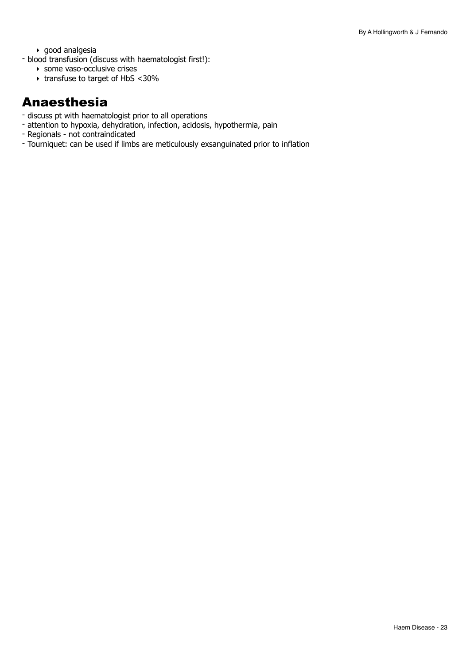‣ good analgesia

- blood transfusion (discuss with haematologist first!):
	- ‣ some vaso-occlusive crises
	- ‣ transfuse to target of HbS <30%

## Anaesthesia

- discuss pt with haematologist prior to all operations
- attention to hypoxia, dehydration, infection, acidosis, hypothermia, pain
- Regionals not contraindicated
- Tourniquet: can be used if limbs are meticulously exsanguinated prior to inflation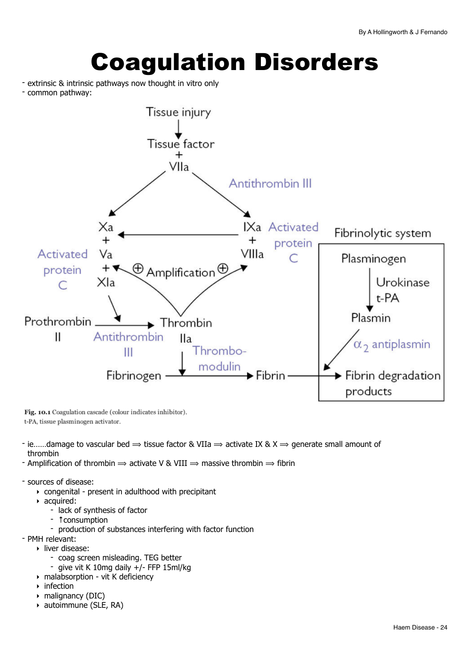# <span id="page-23-0"></span>Coagulation Disorders

- extrinsic & intrinsic pathways now thought in vitro only
- common pathway:



Fig. 10.1 Coagulation cascade (colour indicates inhibitor). t-PA, tissue plasminogen activator.

- ie……damage to vascular bed  $\Rightarrow$  tissue factor & VIIa  $\Rightarrow$  activate IX & X  $\Rightarrow$  generate small amount of thrombin
- Amplification of thrombin  $\Rightarrow$  activate V & VIII  $\Rightarrow$  massive thrombin  $\Rightarrow$  fibrin
- sources of disease:
	- ‣ congenital present in adulthood with precipitant
	- ‣ acquired:
		- lack of synthesis of factor
		- ↑consumption
		- production of substances interfering with factor function

- PMH relevant:

- ‣ liver disease:
	- coag screen misleading. TEG better
	- give vit K 10mg daily +/- FFP 15ml/kg
- ‣ malabsorption vit K deficiency
- ‣ infection
- ‣ malignancy (DIC)
- ‣ autoimmune (SLE, RA)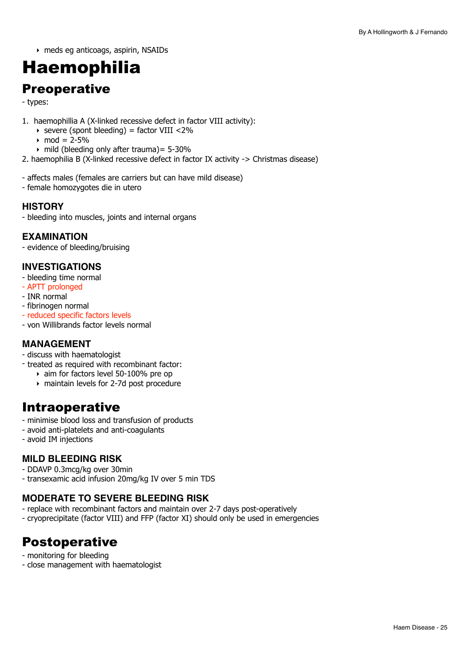‣ meds eg anticoags, aspirin, NSAIDs

## <span id="page-24-0"></span>Haemophilia

## **Preoperative**

- types:

- 1. haemophillia A (X-linked recessive defect in factor VIII activity):
	- $\rightarrow$  severe (spont bleeding) = factor VIII <2%
	- mod =  $2 5%$
	- ‣ mild (bleeding only after trauma)= 5-30%
- 2. haemophilia B (X-linked recessive defect in factor IX activity -> Christmas disease)
- affects males (females are carriers but can have mild disease)
- female homozygotes die in utero

#### **HISTORY**

- bleeding into muscles, joints and internal organs

#### **EXAMINATION**

- evidence of bleeding/bruising

### **INVESTIGATIONS**

- bleeding time normal
- APTT prolonged
- INR normal
- fibrinogen normal
- reduced specific factors levels
- von Willibrands factor levels normal

### **MANAGEMENT**

- discuss with haematologist
- treated as required with recombinant factor:
	- ‣ aim for factors level 50-100% pre op
	- ‣ maintain levels for 2-7d post procedure

## Intraoperative

- minimise blood loss and transfusion of products
- avoid anti-platelets and anti-coagulants
- avoid IM injections

## **MILD BLEEDING RISK**

- DDAVP 0.3mcg/kg over 30min
- transexamic acid infusion 20mg/kg IV over 5 min TDS

## **MODERATE TO SEVERE BLEEDING RISK**

- replace with recombinant factors and maintain over 2-7 days post-operatively
- cryoprecipitate (factor VIII) and FFP (factor XI) should only be used in emergencies

## Postoperative

- monitoring for bleeding
- close management with haematologist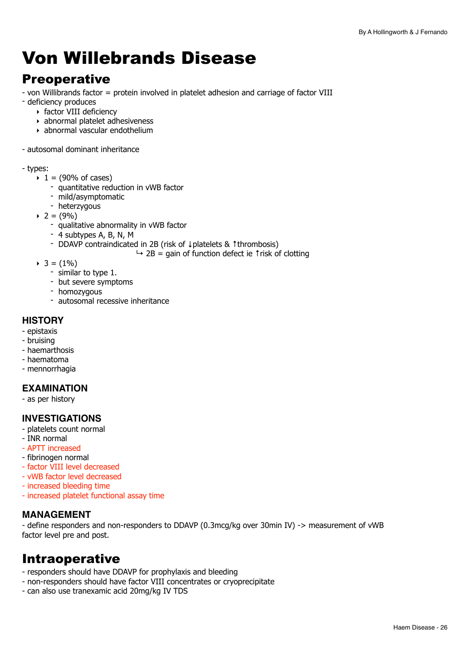## <span id="page-25-0"></span>Von Willebrands Disease

## **Preoperative**

- von Willibrands factor = protein involved in platelet adhesion and carriage of factor VIII
- deficiency produces
	- ‣ factor VIII deficiency
	- ‣ abnormal platelet adhesiveness
	- ‣ abnormal vascular endothelium
- autosomal dominant inheritance

#### - types:

- $\cdot$  1 = (90% of cases)
	- quantitative reduction in vWB factor
	- mild/asymptomatic
	- heterzygous
- $\triangleright$  2 = (9%)
	- qualitative abnormality in vWB factor
	- 4 subtypes A, B, N, M
	- DDAVP contraindicated in 2B (risk of ↓platelets & ↑thrombosis)
		- $\rightarrow$  2B = gain of function defect ie ↑risk of clotting
- $\triangleright$  3 = (1%)
	- similar to type 1.
	- but severe symptoms
	- homozygous
	- autosomal recessive inheritance

#### **HISTORY**

- epistaxis
- bruising
- haemarthosis
- haematoma
- mennorrhagia

### **EXAMINATION**

- as per history

### **INVESTIGATIONS**

- platelets count normal
- INR normal
- APTT increased
- fibrinogen normal
- factor VIII level decreased
- vWB factor level decreased
- increased bleeding time
- increased platelet functional assay time

#### **MANAGEMENT**

- define responders and non-responders to DDAVP (0.3mcg/kg over 30min IV) -> measurement of vWB factor level pre and post.

## Intraoperative

- responders should have DDAVP for prophylaxis and bleeding
- non-responders should have factor VIII concentrates or cryoprecipitate
- can also use tranexamic acid 20mg/kg IV TDS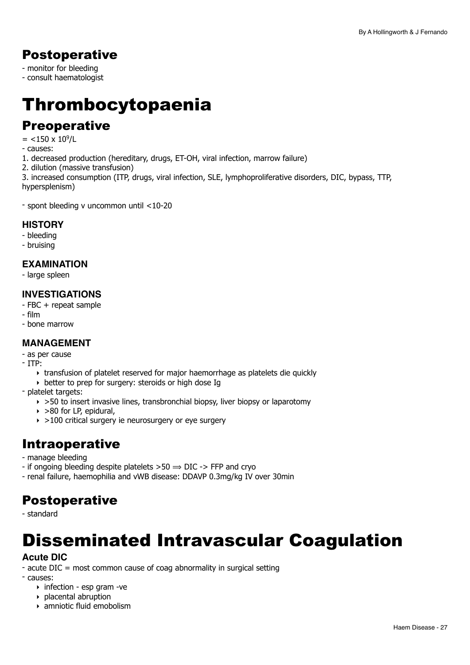## Postoperative

- monitor for bleeding
- consult haematologist

## <span id="page-26-0"></span>Thrombocytopaenia

## **Preoperative**

- $=$  <150 x 10<sup>9</sup>/L
- causes:
- 1. decreased production (hereditary, drugs, ET-OH, viral infection, marrow failure)
- 2. dilution (massive transfusion)

3. increased consumption (ITP, drugs, viral infection, SLE, lymphoproliferative disorders, DIC, bypass, TTP, hypersplenism)

- spont bleeding v uncommon until <10-20

#### **HISTORY**

- bleeding
- bruising

#### **EXAMINATION**

- large spleen

#### **INVESTIGATIONS**

- FBC + repeat sample
- film
- bone marrow

## **MANAGEMENT**

- as per cause
- ITP:
	- ‣ transfusion of platelet reserved for major haemorrhage as platelets die quickly
	- ‣ better to prep for surgery: steroids or high dose Ig
- platelet targets:
	- $\rightarrow$  >50 to insert invasive lines, transbronchial biopsy, liver biopsy or laparotomy
	- $\rightarrow$  >80 for LP, epidural,
	- $\rightarrow$  >100 critical surgery ie neurosurgery or eye surgery

## Intraoperative

- manage bleeding
- if ongoing bleeding despite platelets  $>50 \Rightarrow$  DIC - $>$  FFP and cryo
- renal failure, haemophilia and vWB disease: DDAVP 0.3mg/kg IV over 30min

## Postoperative

- standard

## <span id="page-26-1"></span>Disseminated Intravascular Coagulation

### **Acute DIC**

- acute DIC = most common cause of coag abnormality in surgical setting
- causes:
	- ‣ infection esp gram -ve
	- ‣ placental abruption
	- ‣ amniotic fluid emobolism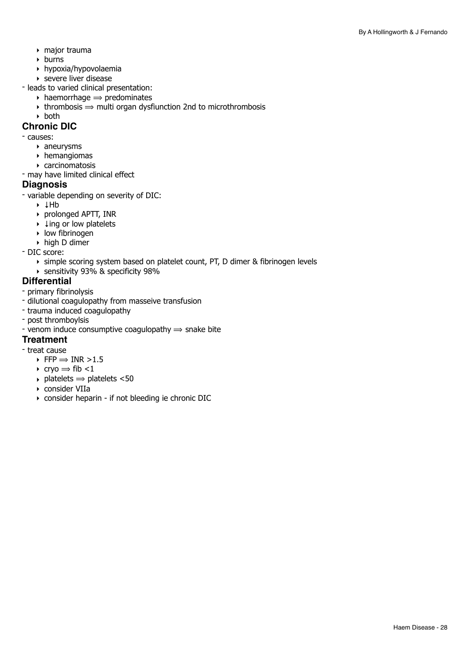- ‣ major trauma
- ‣ burns
- ‣ hypoxia/hypovolaemia
- ‣ severe liver disease
- leads to varied clinical presentation:
	- $\rightarrow$  haemorrhage  $\rightarrow$  predominates
	- $\rightarrow$  thrombosis  $\rightarrow$  multi organ dysfiunction 2nd to microthrombosis
	- ‣ both

#### **Chronic DIC**

- causes:

- ‣ aneurysms
- ‣ hemangiomas
- ‣ carcinomatosis
- may have limited clinical effect

#### **Diagnosis**

- variable depending on severity of DIC:

- ‣ ↓Hb
- ‣ prolonged APTT, INR
- ‣ ↓ing or low platelets
- ‣ low fibrinogen
- ‣ high D dimer
- DIC score:
	- ‣ simple scoring system based on platelet count, PT, D dimer & fibrinogen levels
	- ‣ sensitivity 93% & specificity 98%

#### **Differential**

- primary fibrinolysis
- dilutional coagulopathy from masseive transfusion
- trauma induced coagulopathy
- post thromboylsis
- venom induce consumptive coagulopathy  $\Rightarrow$  snake bite

#### **Treatment**

- treat cause
	- $\triangleright$  FFP  $\Rightarrow$  INR  $>1.5$
	- $\rightarrow$  cryo  $\Rightarrow$  fib <1
	- $\rightarrow$  platelets  $\rightarrow$  platelets <50
	- ‣ consider VIIa
	- ‣ consider heparin if not bleeding ie chronic DIC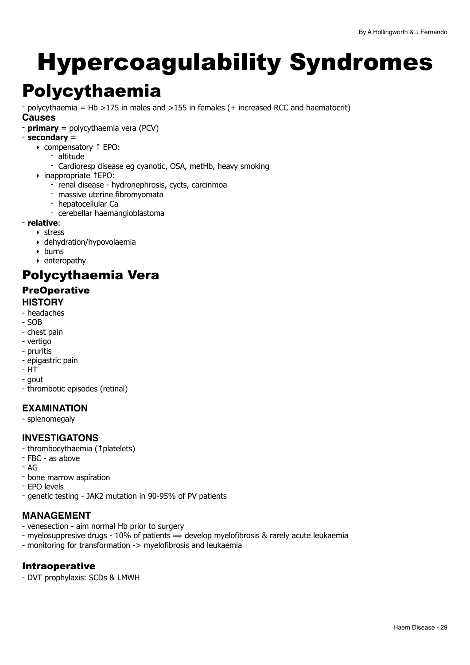# <span id="page-28-0"></span>Hypercoagulability Syndromes

## <span id="page-28-1"></span>Polycythaemia

- polycythaemia = Hb >175 in males and >155 in females (+ increased RCC and haematocrit)

### **Causes**

- **primary** = polycythaemia vera (PCV)
- **secondary** =
	- ‣ compensatory ↑ EPO:
		- altitude
		- Cardioresp disease eg cyanotic, OSA, metHb, heavy smoking
	- ‣ inappropriate ↑EPO:
		- renal disease hydronephrosis, cycts, carcinmoa
		- massive uterine fibromyomata
		- hepatocellular Ca
		- cerebellar haemangioblastoma
- **relative**:
	- ‣ stress
	- ‣ dehydration/hypovolaemia
	- ‣ burns
	- ‣ enteropathy

## Polycythaemia Vera

## **PreOperative**

- **HISTORY**
- headaches
- $-SOR$
- chest pain
- vertigo
- pruritis
- epigastric pain
- HT
- gout
- thrombotic episodes (retinal)

## **EXAMINATION**

- splenomegaly

## **INVESTIGATONS**

- thrombocythaemia (↑platelets)
- FBC as above
- AG
- bone marrow aspiration
- EPO levels
- genetic testing JAK2 mutation in 90-95% of PV patients

## **MANAGEMENT**

- venesection aim normal Hb prior to surgery
- myelosuppresive drugs 10% of patients  $\Rightarrow$  develop myelofibrosis & rarely acute leukaemia
- monitoring for transformation -> myelofibrosis and leukaemia

### Intraoperative

- DVT prophylaxis: SCDs & LMWH